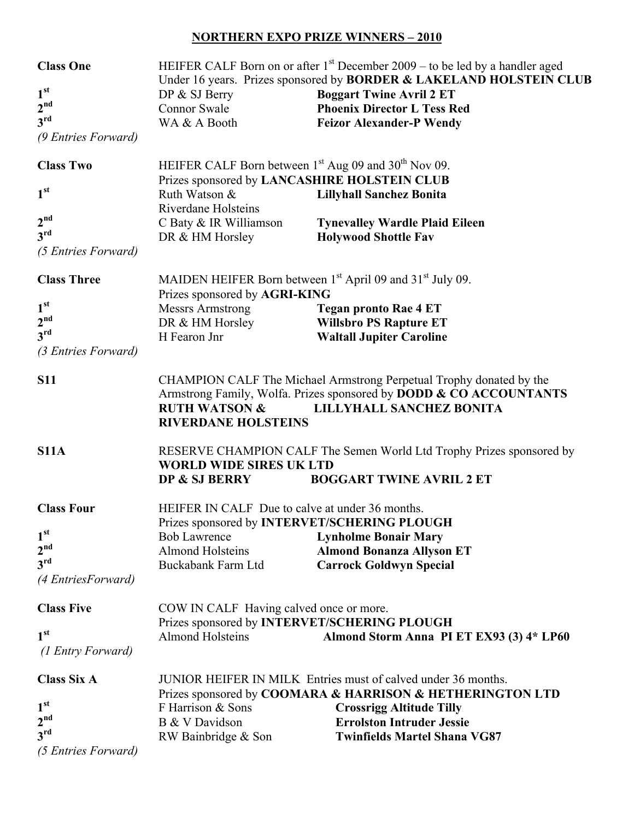## **NORTHERN EXPO PRIZE WINNERS – 2010**

| <b>Class One</b>    | HEIFER CALF Born on or after $1st$ December 2009 – to be led by a handler aged                                                                                                                                                  |                                                                                |  |
|---------------------|---------------------------------------------------------------------------------------------------------------------------------------------------------------------------------------------------------------------------------|--------------------------------------------------------------------------------|--|
| 1 <sup>st</sup>     |                                                                                                                                                                                                                                 | Under 16 years. Prizes sponsored by <b>BORDER &amp; LAKELAND HOLSTEIN CLUB</b> |  |
| 2 <sup>nd</sup>     | DP & SJ Berry<br><b>Connor Swale</b>                                                                                                                                                                                            | <b>Boggart Twine Avril 2 ET</b><br><b>Phoenix Director L Tess Red</b>          |  |
| 3 <sup>rd</sup>     | WA & A Booth                                                                                                                                                                                                                    | <b>Feizor Alexander-P Wendy</b>                                                |  |
| (9 Entries Forward) |                                                                                                                                                                                                                                 |                                                                                |  |
| <b>Class Two</b>    | HEIFER CALF Born between 1 <sup>st</sup> Aug 09 and 30 <sup>th</sup> Nov 09.<br>Prizes sponsored by LANCASHIRE HOLSTEIN CLUB                                                                                                    |                                                                                |  |
| 1 <sup>st</sup>     | Ruth Watson &<br><b>Riverdane Holsteins</b>                                                                                                                                                                                     | <b>Lillyhall Sanchez Bonita</b>                                                |  |
| 2 <sup>nd</sup>     | C Baty & IR Williamson                                                                                                                                                                                                          | <b>Tynevalley Wardle Plaid Eileen</b>                                          |  |
| 3 <sup>rd</sup>     | DR & HM Horsley                                                                                                                                                                                                                 | <b>Holywood Shottle Fav</b>                                                    |  |
| (5 Entries Forward) |                                                                                                                                                                                                                                 |                                                                                |  |
| <b>Class Three</b>  | MAIDEN HEIFER Born between 1 <sup>st</sup> April 09 and 31 <sup>st</sup> July 09.<br>Prizes sponsored by AGRI-KING                                                                                                              |                                                                                |  |
| 1 <sup>st</sup>     | <b>Messrs Armstrong</b>                                                                                                                                                                                                         | <b>Tegan pronto Rae 4 ET</b>                                                   |  |
| 2 <sup>nd</sup>     | DR & HM Horsley                                                                                                                                                                                                                 | <b>Willsbro PS Rapture ET</b>                                                  |  |
| 3 <sup>rd</sup>     | H Fearon Jnr                                                                                                                                                                                                                    | <b>Waltall Jupiter Caroline</b>                                                |  |
| (3 Entries Forward) |                                                                                                                                                                                                                                 |                                                                                |  |
| <b>S11</b>          | CHAMPION CALF The Michael Armstrong Perpetual Trophy donated by the<br>Armstrong Family, Wolfa. Prizes sponsored by DODD & CO ACCOUNTANTS<br><b>RUTH WATSON &amp;</b><br>LILLYHALL SANCHEZ BONITA<br><b>RIVERDANE HOLSTEINS</b> |                                                                                |  |
| <b>S11A</b>         | RESERVE CHAMPION CALF The Semen World Ltd Trophy Prizes sponsored by<br><b>WORLD WIDE SIRES UK LTD</b><br><b>BOGGART TWINE AVRIL 2 ET</b><br>DP & SJ BERRY                                                                      |                                                                                |  |
| <b>Class Four</b>   | HEIFER IN CALF Due to calve at under 36 months.                                                                                                                                                                                 |                                                                                |  |
| 1 <sup>st</sup>     | <b>Bob Lawrence</b>                                                                                                                                                                                                             | Prizes sponsored by <b>INTERVET/SCHERING PLOUGH</b>                            |  |
| 2 <sup>nd</sup>     | <b>Almond Holsteins</b>                                                                                                                                                                                                         | <b>Lynholme Bonair Mary</b><br><b>Almond Bonanza Allyson ET</b>                |  |
| 3 <sup>rd</sup>     | Buckabank Farm Ltd                                                                                                                                                                                                              | <b>Carrock Goldwyn Special</b>                                                 |  |
| (4 Entries Forward) |                                                                                                                                                                                                                                 |                                                                                |  |
| <b>Class Five</b>   | COW IN CALF Having calved once or more.<br>Prizes sponsored by INTERVET/SCHERING PLOUGH                                                                                                                                         |                                                                                |  |
| 1 <sup>st</sup>     | <b>Almond Holsteins</b>                                                                                                                                                                                                         | Almond Storm Anna PI ET EX93 (3) 4* LP60                                       |  |
| (1 Entry Forward)   |                                                                                                                                                                                                                                 |                                                                                |  |
| <b>Class Six A</b>  | JUNIOR HEIFER IN MILK Entries must of calved under 36 months.<br>Prizes sponsored by COOMARA & HARRISON & HETHERINGTON LTD                                                                                                      |                                                                                |  |
| 1 <sup>st</sup>     | F Harrison & Sons                                                                                                                                                                                                               | <b>Crossrigg Altitude Tilly</b>                                                |  |
| 2 <sup>nd</sup>     | B & V Davidson                                                                                                                                                                                                                  | <b>Errolston Intruder Jessie</b>                                               |  |
| $3^{\text{rd}}$     | RW Bainbridge & Son                                                                                                                                                                                                             | <b>Twinfields Martel Shana VG87</b>                                            |  |
| (5 Entries Forward) |                                                                                                                                                                                                                                 |                                                                                |  |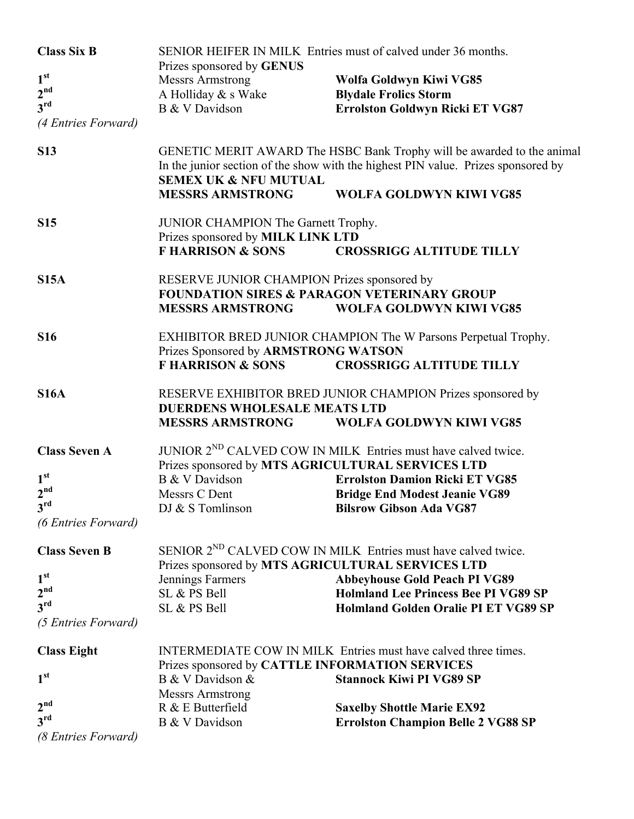| <b>Class Six B</b>                 | SENIOR HEIFER IN MILK Entries must of calved under 36 months.<br>Prizes sponsored by GENUS                                                                                                                                                                   |                                                                           |  |
|------------------------------------|--------------------------------------------------------------------------------------------------------------------------------------------------------------------------------------------------------------------------------------------------------------|---------------------------------------------------------------------------|--|
| 1 <sup>st</sup>                    | <b>Messrs Armstrong</b>                                                                                                                                                                                                                                      | Wolfa Goldwyn Kiwi VG85                                                   |  |
| 2 <sup>nd</sup>                    | A Holliday & s Wake                                                                                                                                                                                                                                          | <b>Blydale Frolics Storm</b>                                              |  |
| 3 <sup>rd</sup>                    | B & V Davidson                                                                                                                                                                                                                                               | Errolston Goldwyn Ricki ET VG87                                           |  |
| (4 Entries Forward)                |                                                                                                                                                                                                                                                              |                                                                           |  |
| <b>S13</b>                         | GENETIC MERIT AWARD The HSBC Bank Trophy will be awarded to the animal<br>In the junior section of the show with the highest PIN value. Prizes sponsored by<br><b>SEMEX UK &amp; NFU MUTUAL</b><br><b>MESSRS ARMSTRONG</b><br><b>WOLFA GOLDWYN KIWI VG85</b> |                                                                           |  |
|                                    |                                                                                                                                                                                                                                                              |                                                                           |  |
| <b>S15</b>                         | JUNIOR CHAMPION The Garnett Trophy.                                                                                                                                                                                                                          |                                                                           |  |
|                                    | Prizes sponsored by MILK LINK LTD<br><b>F HARRISON &amp; SONS</b>                                                                                                                                                                                            | <b>CROSSRIGG ALTITUDE TILLY</b>                                           |  |
| <b>S15A</b>                        | RESERVE JUNIOR CHAMPION Prizes sponsored by                                                                                                                                                                                                                  |                                                                           |  |
|                                    |                                                                                                                                                                                                                                                              | <b>FOUNDATION SIRES &amp; PARAGON VETERINARY GROUP</b>                    |  |
|                                    | <b>MESSRS ARMSTRONG</b>                                                                                                                                                                                                                                      | <b>WOLFA GOLDWYN KIWI VG85</b>                                            |  |
| <b>S16</b>                         | EXHIBITOR BRED JUNIOR CHAMPION The W Parsons Perpetual Trophy.                                                                                                                                                                                               |                                                                           |  |
|                                    | Prizes Sponsored by ARMSTRONG WATSON                                                                                                                                                                                                                         |                                                                           |  |
|                                    | <b>F HARRISON &amp; SONS</b>                                                                                                                                                                                                                                 | <b>CROSSRIGG ALTITUDE TILLY</b>                                           |  |
| <b>S16A</b>                        | RESERVE EXHIBITOR BRED JUNIOR CHAMPION Prizes sponsored by                                                                                                                                                                                                   |                                                                           |  |
|                                    | <b>DUERDENS WHOLESALE MEATS LTD</b>                                                                                                                                                                                                                          |                                                                           |  |
|                                    | <b>MESSRS ARMSTRONG</b>                                                                                                                                                                                                                                      | <b>WOLFA GOLDWYN KIWI VG85</b>                                            |  |
| <b>Class Seven A</b>               |                                                                                                                                                                                                                                                              | JUNIOR 2 <sup>ND</sup> CALVED COW IN MILK Entries must have calved twice. |  |
|                                    | Prizes sponsored by MTS AGRICULTURAL SERVICES LTD                                                                                                                                                                                                            |                                                                           |  |
| 1 <sup>st</sup>                    | B & V Davidson                                                                                                                                                                                                                                               | <b>Errolston Damion Ricki ET VG85</b>                                     |  |
| 2 <sup>nd</sup><br>$2^{\text{rd}}$ | Messrs C Dent                                                                                                                                                                                                                                                | <b>Bridge End Modest Jeanie VG89</b>                                      |  |
|                                    | DJ & S Tomlinson                                                                                                                                                                                                                                             | <b>Bilsrow Gibson Ada VG87</b>                                            |  |
| (6 Entries Forward)                |                                                                                                                                                                                                                                                              |                                                                           |  |
| <b>Class Seven B</b>               | SENIOR 2 <sup>ND</sup> CALVED COW IN MILK Entries must have calved twice.                                                                                                                                                                                    |                                                                           |  |
|                                    | Prizes sponsored by MTS AGRICULTURAL SERVICES LTD                                                                                                                                                                                                            |                                                                           |  |
| 1 <sup>st</sup>                    | Jennings Farmers                                                                                                                                                                                                                                             | <b>Abbeyhouse Gold Peach PI VG89</b>                                      |  |
| 2 <sup>nd</sup><br>$3^{\text{rd}}$ | SL & PS Bell                                                                                                                                                                                                                                                 | <b>Holmland Lee Princess Bee PI VG89 SP</b>                               |  |
|                                    | SL & PS Bell                                                                                                                                                                                                                                                 | Holmland Golden Oralie PI ET VG89 SP                                      |  |
| (5 Entries Forward)                |                                                                                                                                                                                                                                                              |                                                                           |  |
| <b>Class Eight</b>                 | INTERMEDIATE COW IN MILK Entries must have calved three times.                                                                                                                                                                                               |                                                                           |  |
| 1 <sup>st</sup>                    | Prizes sponsored by CATTLE INFORMATION SERVICES                                                                                                                                                                                                              |                                                                           |  |
|                                    | B & V Davidson &                                                                                                                                                                                                                                             | <b>Stannock Kiwi PI VG89 SP</b>                                           |  |
| 2 <sup>nd</sup>                    | <b>Messrs Armstrong</b><br>R & E Butterfield                                                                                                                                                                                                                 | <b>Saxelby Shottle Marie EX92</b>                                         |  |
| 3 <sup>rd</sup>                    | B & V Davidson                                                                                                                                                                                                                                               | <b>Errolston Champion Belle 2 VG88 SP</b>                                 |  |
| (8 Entries Forward)                |                                                                                                                                                                                                                                                              |                                                                           |  |
|                                    |                                                                                                                                                                                                                                                              |                                                                           |  |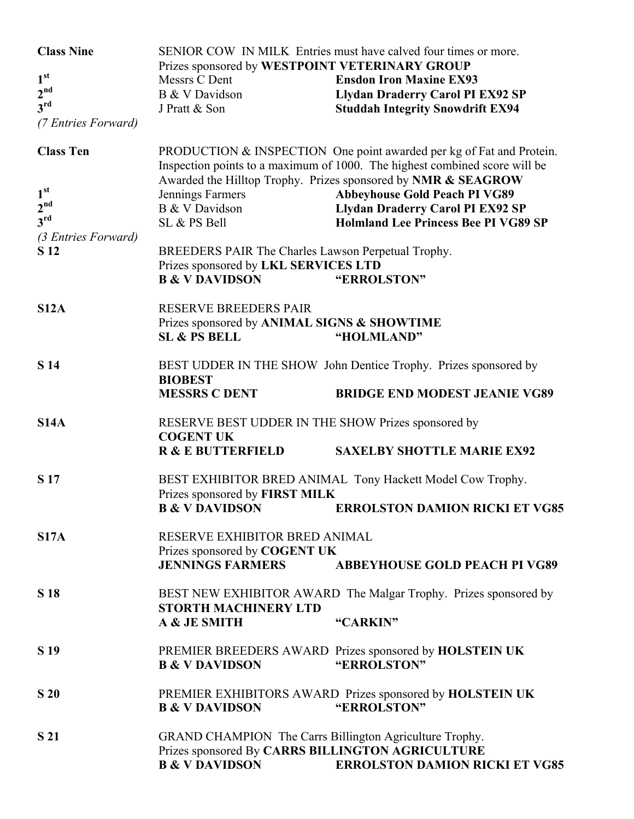| <b>Class Nine</b>   | SENIOR COW IN MILK Entries must have calved four times or more.<br>Prizes sponsored by WESTPOINT VETERINARY GROUP                                  |                                                                         |  |
|---------------------|----------------------------------------------------------------------------------------------------------------------------------------------------|-------------------------------------------------------------------------|--|
| 1 <sup>st</sup>     | Messrs C Dent                                                                                                                                      | <b>Ensdon Iron Maxine EX93</b>                                          |  |
| 2 <sup>nd</sup>     | B & V Davidson                                                                                                                                     | <b>Llydan Draderry Carol PI EX92 SP</b>                                 |  |
| 3 <sup>rd</sup>     | J Pratt & Son                                                                                                                                      | <b>Studdah Integrity Snowdrift EX94</b>                                 |  |
| (7 Entries Forward) |                                                                                                                                                    |                                                                         |  |
| <b>Class Ten</b>    | PRODUCTION & INSPECTION One point awarded per kg of Fat and Protein.<br>Inspection points to a maximum of 1000. The highest combined score will be |                                                                         |  |
|                     |                                                                                                                                                    | Awarded the Hilltop Trophy. Prizes sponsored by NMR & SEAGROW           |  |
| 1 <sup>st</sup>     | Jennings Farmers                                                                                                                                   | <b>Abbeyhouse Gold Peach PI VG89</b>                                    |  |
| 2 <sup>nd</sup>     | B & V Davidson                                                                                                                                     | <b>Llydan Draderry Carol PI EX92 SP</b>                                 |  |
| 3 <sup>rd</sup>     | SL & PS Bell                                                                                                                                       | <b>Holmland Lee Princess Bee PI VG89 SP</b>                             |  |
| (3 Entries Forward) | BREEDERS PAIR The Charles Lawson Perpetual Trophy.                                                                                                 |                                                                         |  |
| S 12                |                                                                                                                                                    |                                                                         |  |
|                     | Prizes sponsored by LKL SERVICES LTD                                                                                                               |                                                                         |  |
|                     | <b>B &amp; V DAVIDSON</b>                                                                                                                          | "ERROLSTON"                                                             |  |
| S12A                | <b>RESERVE BREEDERS PAIR</b><br>Prizes sponsored by ANIMAL SIGNS & SHOWTIME                                                                        |                                                                         |  |
|                     | <b>SL &amp; PS BELL</b>                                                                                                                            | "HOLMLAND"                                                              |  |
|                     |                                                                                                                                                    |                                                                         |  |
| <b>S</b> 14         | BEST UDDER IN THE SHOW John Dentice Trophy. Prizes sponsored by<br><b>BIOBEST</b>                                                                  |                                                                         |  |
|                     | <b>MESSRS C DENT</b>                                                                                                                               | <b>BRIDGE END MODEST JEANIE VG89</b>                                    |  |
|                     |                                                                                                                                                    |                                                                         |  |
| <b>S14A</b>         | RESERVE BEST UDDER IN THE SHOW Prizes sponsored by<br><b>COGENT UK</b>                                                                             |                                                                         |  |
|                     | <b>R &amp; E BUTTERFIELD</b>                                                                                                                       | <b>SAXELBY SHOTTLE MARIE EX92</b>                                       |  |
| S 17                | BEST EXHIBITOR BRED ANIMAL Tony Hackett Model Cow Trophy.<br>Prizes sponsored by FIRST MILK                                                        |                                                                         |  |
|                     | <b>B &amp; V DAVIDSON</b>                                                                                                                          | <b>ERROLSTON DAMION RICKI ET VG85</b>                                   |  |
| <b>S17A</b>         | RESERVE EXHIBITOR BRED ANIMAL                                                                                                                      |                                                                         |  |
|                     | Prizes sponsored by COGENT UK<br><b>JENNINGS FARMERS</b>                                                                                           | <b>ABBEYHOUSE GOLD PEACH PI VG89</b>                                    |  |
|                     |                                                                                                                                                    |                                                                         |  |
| <b>S</b> 18         | BEST NEW EXHIBITOR AWARD The Malgar Trophy. Prizes sponsored by<br><b>STORTH MACHINERY LTD</b>                                                     |                                                                         |  |
|                     | A & JE SMITH                                                                                                                                       | "CARKIN"                                                                |  |
| S 19                |                                                                                                                                                    | PREMIER BREEDERS AWARD Prizes sponsored by HOLSTEIN UK                  |  |
|                     | <b>B &amp; V DAVIDSON</b>                                                                                                                          | "ERROLSTON"                                                             |  |
| S 20                | <b>B &amp; V DAVIDSON</b>                                                                                                                          | PREMIER EXHIBITORS AWARD Prizes sponsored by HOLSTEIN UK<br>"ERROLSTON" |  |
|                     |                                                                                                                                                    |                                                                         |  |
| S 21                | GRAND CHAMPION The Carrs Billington Agriculture Trophy.<br>Prizes sponsored By CARRS BILLINGTON AGRICULTURE                                        |                                                                         |  |
|                     | <b>B &amp; V DAVIDSON</b>                                                                                                                          | <b>ERROLSTON DAMION RICKI ET VG85</b>                                   |  |